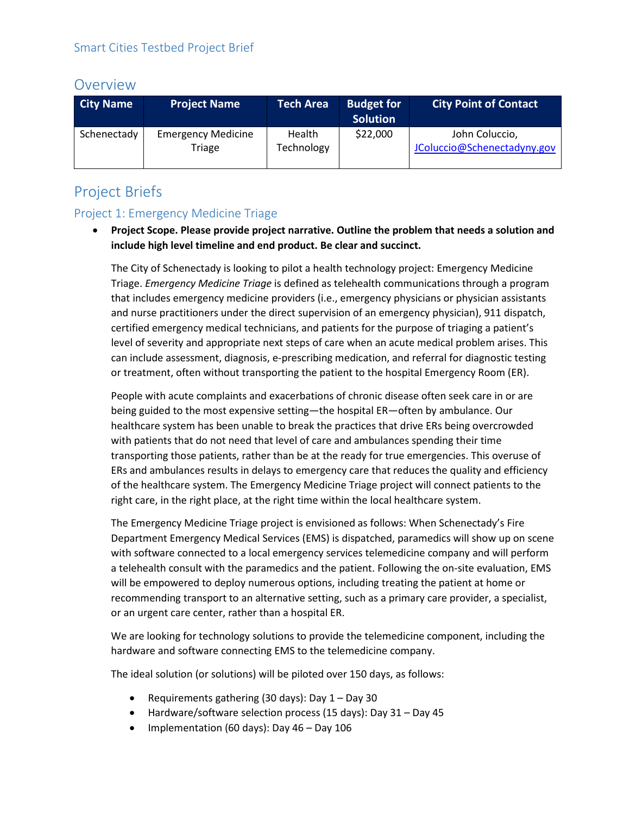# Overview

| <b>City Name</b> | <b>Project Name</b>                 | <b>Tech Area</b>     | <b>Budget for</b><br><b>Solution</b> | <b>City Point of Contact</b>                  |
|------------------|-------------------------------------|----------------------|--------------------------------------|-----------------------------------------------|
| Schenectady      | <b>Emergency Medicine</b><br>Triage | Health<br>Technology | \$22,000                             | John Coluccio,<br>JColuccio@Schenectadyny.gov |

# Project Briefs

## Project 1: Emergency Medicine Triage

• **Project Scope. Please provide project narrative. Outline the problem that needs a solution and include high level timeline and end product. Be clear and succinct.**

The City of Schenectady is looking to pilot a health technology project: Emergency Medicine Triage. *Emergency Medicine Triage* is defined as telehealth communications through a program that includes emergency medicine providers (i.e., emergency physicians or physician assistants and nurse practitioners under the direct supervision of an emergency physician), 911 dispatch, certified emergency medical technicians, and patients for the purpose of triaging a patient's level of severity and appropriate next steps of care when an acute medical problem arises. This can include assessment, diagnosis, e-prescribing medication, and referral for diagnostic testing or treatment, often without transporting the patient to the hospital Emergency Room (ER).

People with acute complaints and exacerbations of chronic disease often seek care in or are being guided to the most expensive setting—the hospital ER—often by ambulance. Our healthcare system has been unable to break the practices that drive ERs being overcrowded with patients that do not need that level of care and ambulances spending their time transporting those patients, rather than be at the ready for true emergencies. This overuse of ERs and ambulances results in delays to emergency care that reduces the quality and efficiency of the healthcare system. The Emergency Medicine Triage project will connect patients to the right care, in the right place, at the right time within the local healthcare system.

The Emergency Medicine Triage project is envisioned as follows: When Schenectady's Fire Department Emergency Medical Services (EMS) is dispatched, paramedics will show up on scene with software connected to a local emergency services telemedicine company and will perform a telehealth consult with the paramedics and the patient. Following the on-site evaluation, EMS will be empowered to deploy numerous options, including treating the patient at home or recommending transport to an alternative setting, such as a primary care provider, a specialist, or an urgent care center, rather than a hospital ER.

We are looking for technology solutions to provide the telemedicine component, including the hardware and software connecting EMS to the telemedicine company.

The ideal solution (or solutions) will be piloted over 150 days, as follows:

- Requirements gathering (30 days): Day 1 Day 30
- Hardware/software selection process (15 days): Day 31 Day 45
- Implementation (60 days): Day 46 Day 106